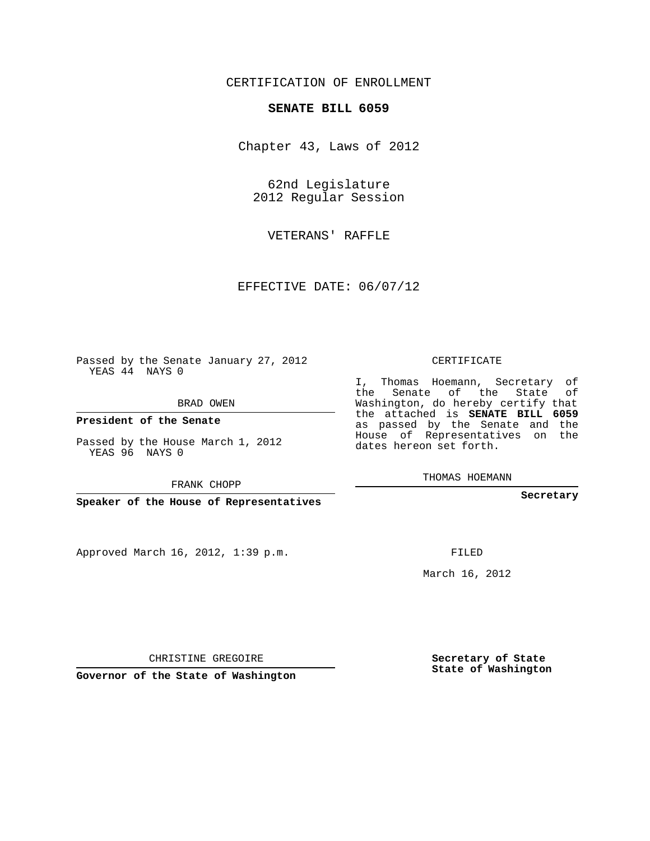### CERTIFICATION OF ENROLLMENT

### **SENATE BILL 6059**

Chapter 43, Laws of 2012

62nd Legislature 2012 Regular Session

VETERANS' RAFFLE

EFFECTIVE DATE: 06/07/12

Passed by the Senate January 27, 2012 YEAS 44 NAYS 0

BRAD OWEN

**President of the Senate**

Passed by the House March 1, 2012 YEAS 96 NAYS 0

FRANK CHOPP

**Speaker of the House of Representatives**

Approved March 16, 2012, 1:39 p.m.

CERTIFICATE

I, Thomas Hoemann, Secretary of the Senate of the State of Washington, do hereby certify that the attached is **SENATE BILL 6059** as passed by the Senate and the House of Representatives on the dates hereon set forth.

THOMAS HOEMANN

**Secretary**

FILED

March 16, 2012

**Secretary of State State of Washington**

CHRISTINE GREGOIRE

**Governor of the State of Washington**